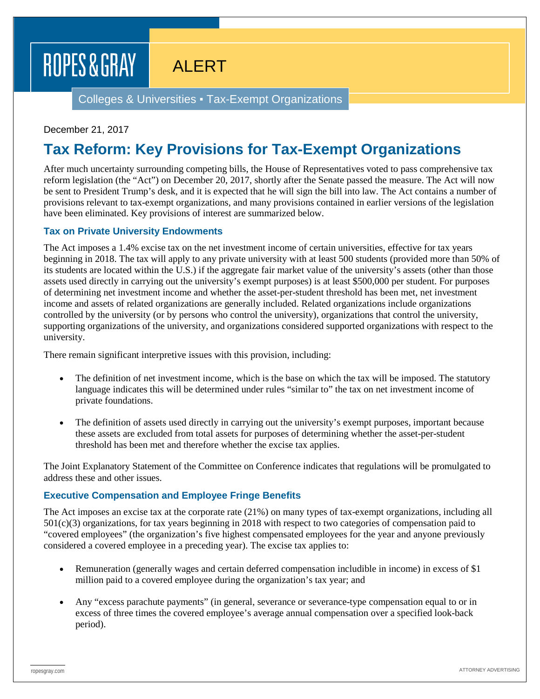# ROPES & GRAY

# ALERT

Colleges & Universities ▪ Tax-Exempt Organizations

#### December 21, 2017

### **Tax Reform: Key Provisions for Tax-Exempt Organizations**

After much uncertainty surrounding competing bills, the House of Representatives voted to pass comprehensive tax reform legislation (the "Act") on December 20, 2017, shortly after the Senate passed the measure. The Act will now be sent to President Trump's desk, and it is expected that he will sign the bill into law. The Act contains a number of provisions relevant to tax-exempt organizations, and many provisions contained in earlier versions of the legislation have been eliminated. Key provisions of interest are summarized below.

#### **Tax on Private University Endowments**

The Act imposes a 1.4% excise tax on the net investment income of certain universities, effective for tax years beginning in 2018. The tax will apply to any private university with at least 500 students (provided more than 50% of its students are located within the U.S.) if the aggregate fair market value of the university's assets (other than those assets used directly in carrying out the university's exempt purposes) is at least \$500,000 per student. For purposes of determining net investment income and whether the asset-per-student threshold has been met, net investment income and assets of related organizations are generally included. Related organizations include organizations controlled by the university (or by persons who control the university), organizations that control the university, supporting organizations of the university, and organizations considered supported organizations with respect to the university.

There remain significant interpretive issues with this provision, including:

- The definition of net investment income, which is the base on which the tax will be imposed. The statutory language indicates this will be determined under rules "similar to" the tax on net investment income of private foundations.
- The definition of assets used directly in carrying out the university's exempt purposes, important because these assets are excluded from total assets for purposes of determining whether the asset-per-student threshold has been met and therefore whether the excise tax applies.

The Joint Explanatory Statement of the Committee on Conference indicates that regulations will be promulgated to address these and other issues.

### **Executive Compensation and Employee Fringe Benefits**

The Act imposes an excise tax at the corporate rate (21%) on many types of tax-exempt organizations, including all 501(c)(3) organizations, for tax years beginning in 2018 with respect to two categories of compensation paid to "covered employees" (the organization's five highest compensated employees for the year and anyone previously considered a covered employee in a preceding year). The excise tax applies to:

- Remuneration (generally wages and certain deferred compensation includible in income) in excess of \$1 million paid to a covered employee during the organization's tax year; and
- Any "excess parachute payments" (in general, severance or severance-type compensation equal to or in excess of three times the covered employee's average annual compensation over a specified look-back period).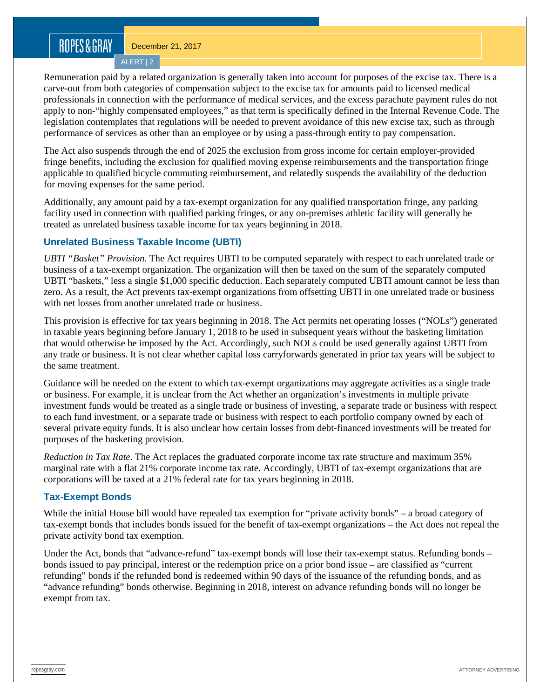### ROPES&GRAY

December 21, 2017

ALERT | 2

Remuneration paid by a related organization is generally taken into account for purposes of the excise tax. There is a carve-out from both categories of compensation subject to the excise tax for amounts paid to licensed medical professionals in connection with the performance of medical services, and the excess parachute payment rules do not apply to non-"highly compensated employees," as that term is specifically defined in the Internal Revenue Code. The legislation contemplates that regulations will be needed to prevent avoidance of this new excise tax, such as through performance of services as other than an employee or by using a pass-through entity to pay compensation.

The Act also suspends through the end of 2025 the exclusion from gross income for certain employer-provided fringe benefits, including the exclusion for qualified moving expense reimbursements and the transportation fringe applicable to qualified bicycle commuting reimbursement, and relatedly suspends the availability of the deduction for moving expenses for the same period.

Additionally, any amount paid by a tax-exempt organization for any qualified transportation fringe, any parking facility used in connection with qualified parking fringes, or any on-premises athletic facility will generally be treated as unrelated business taxable income for tax years beginning in 2018.

### **Unrelated Business Taxable Income (UBTI)**

*UBTI "Basket" Provision*. The Act requires UBTI to be computed separately with respect to each unrelated trade or business of a tax-exempt organization. The organization will then be taxed on the sum of the separately computed UBTI "baskets," less a single \$1,000 specific deduction. Each separately computed UBTI amount cannot be less than zero. As a result, the Act prevents tax-exempt organizations from offsetting UBTI in one unrelated trade or business with net losses from another unrelated trade or business.

This provision is effective for tax years beginning in 2018. The Act permits net operating losses ("NOLs") generated in taxable years beginning before January 1, 2018 to be used in subsequent years without the basketing limitation that would otherwise be imposed by the Act. Accordingly, such NOLs could be used generally against UBTI from any trade or business. It is not clear whether capital loss carryforwards generated in prior tax years will be subject to the same treatment.

Guidance will be needed on the extent to which tax-exempt organizations may aggregate activities as a single trade or business. For example, it is unclear from the Act whether an organization's investments in multiple private investment funds would be treated as a single trade or business of investing, a separate trade or business with respect to each fund investment, or a separate trade or business with respect to each portfolio company owned by each of several private equity funds. It is also unclear how certain losses from debt-financed investments will be treated for purposes of the basketing provision.

*Reduction in Tax Rate*. The Act replaces the graduated corporate income tax rate structure and maximum 35% marginal rate with a flat 21% corporate income tax rate. Accordingly, UBTI of tax-exempt organizations that are corporations will be taxed at a 21% federal rate for tax years beginning in 2018.

### **Tax-Exempt Bonds**

While the initial House bill would have repealed tax exemption for "private activity bonds" – a broad category of tax-exempt bonds that includes bonds issued for the benefit of tax-exempt organizations – the Act does not repeal the private activity bond tax exemption.

Under the Act, bonds that "advance-refund" tax-exempt bonds will lose their tax-exempt status. Refunding bonds – bonds issued to pay principal, interest or the redemption price on a prior bond issue – are classified as "current refunding" bonds if the refunded bond is redeemed within 90 days of the issuance of the refunding bonds, and as "advance refunding" bonds otherwise. Beginning in 2018, interest on advance refunding bonds will no longer be exempt from tax.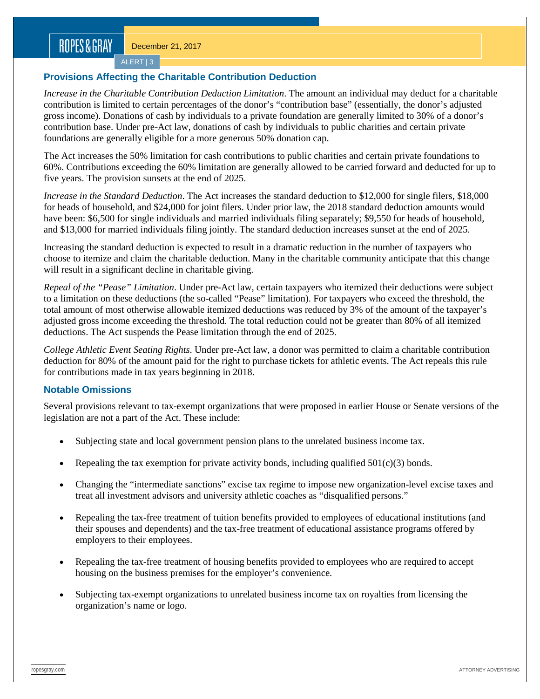ALERT | 3

### **Provisions Affecting the Charitable Contribution Deduction**

*Increase in the Charitable Contribution Deduction Limitation*. The amount an individual may deduct for a charitable contribution is limited to certain percentages of the donor's "contribution base" (essentially, the donor's adjusted gross income). Donations of cash by individuals to a private foundation are generally limited to 30% of a donor's contribution base. Under pre-Act law, donations of cash by individuals to public charities and certain private foundations are generally eligible for a more generous 50% donation cap.

The Act increases the 50% limitation for cash contributions to public charities and certain private foundations to 60%. Contributions exceeding the 60% limitation are generally allowed to be carried forward and deducted for up to five years. The provision sunsets at the end of 2025.

*Increase in the Standard Deduction*. The Act increases the standard deduction to \$12,000 for single filers, \$18,000 for heads of household, and \$24,000 for joint filers. Under prior law, the 2018 standard deduction amounts would have been: \$6,500 for single individuals and married individuals filing separately; \$9,550 for heads of household, and \$13,000 for married individuals filing jointly. The standard deduction increases sunset at the end of 2025.

Increasing the standard deduction is expected to result in a dramatic reduction in the number of taxpayers who choose to itemize and claim the charitable deduction. Many in the charitable community anticipate that this change will result in a significant decline in charitable giving.

*Repeal of the "Pease" Limitation*. Under pre-Act law, certain taxpayers who itemized their deductions were subject to a limitation on these deductions (the so-called "Pease" limitation). For taxpayers who exceed the threshold, the total amount of most otherwise allowable itemized deductions was reduced by 3% of the amount of the taxpayer's adjusted gross income exceeding the threshold. The total reduction could not be greater than 80% of all itemized deductions. The Act suspends the Pease limitation through the end of 2025.

*College Athletic Event Seating Rights*. Under pre-Act law, a donor was permitted to claim a charitable contribution deduction for 80% of the amount paid for the right to purchase tickets for athletic events. The Act repeals this rule for contributions made in tax years beginning in 2018.

### **Notable Omissions**

Several provisions relevant to tax-exempt organizations that were proposed in earlier House or Senate versions of the legislation are not a part of the Act. These include:

- Subjecting state and local government pension plans to the unrelated business income tax.
- Repealing the tax exemption for private activity bonds, including qualified  $501(c)(3)$  bonds.
- Changing the "intermediate sanctions" excise tax regime to impose new organization-level excise taxes and treat all investment advisors and university athletic coaches as "disqualified persons."
- Repealing the tax-free treatment of tuition benefits provided to employees of educational institutions (and their spouses and dependents) and the tax-free treatment of educational assistance programs offered by employers to their employees.
- Repealing the tax-free treatment of housing benefits provided to employees who are required to accept housing on the business premises for the employer's convenience.
- Subjecting tax-exempt organizations to unrelated business income tax on royalties from licensing the organization's name or logo.